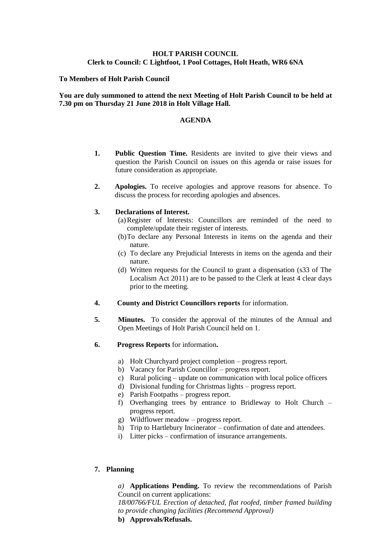# **HOLT PARISH COUNCIL Clerk to Council: C Lightfoot, 1 Pool Cottages, Holt Heath, WR6 6NA**

### **To Members of Holt Parish Council**

### **You are duly summoned to attend the next Meeting of Holt Parish Council to be held at 7.30 pm on Thursday 21 June 2018 in Holt Village Hall.**

#### **AGENDA**

- **1. Public Question Time.** Residents are invited to give their views and question the Parish Council on issues on this agenda or raise issues for future consideration as appropriate.
- **2. Apologies.** To receive apologies and approve reasons for absence. To discuss the process for recording apologies and absences.

#### **3. Declarations of Interest.**

- (a)Register of Interests: Councillors are reminded of the need to complete/update their register of interests.
- (b)To declare any Personal Interests in items on the agenda and their nature.
- (c) To declare any Prejudicial Interests in items on the agenda and their nature.
- (d) Written requests for the Council to grant a dispensation (s33 of The Localism Act 2011) are to be passed to the Clerk at least 4 clear days prior to the meeting.
- **4. County and District Councillors reports** for information.
- **5. Minutes.** To consider the approval of the minutes of the Annual and Open Meetings of Holt Parish Council held on 1.
- **6. Progress Reports** for information**.**
	- a) Holt Churchyard project completion progress report.
	- b) Vacancy for Parish Councillor progress report.
	- c) Rural policing update on communication with local police officers
	- d) Divisional funding for Christmas lights progress report.
	- e) Parish Footpaths progress report.
	- f) Overhanging trees by entrance to Bridleway to Holt Church progress report.
	- g) Wildflower meadow progress report.
	- h) Trip to Hartlebury Incinerator confirmation of date and attendees.
	- i) Litter picks confirmation of insurance arrangements.

### **7. Planning**

*a)* **Applications Pending.** To review the recommendations of Parish Council on current applications:

*18/00766/FUL Erection of detached, flat roofed, timber framed building to provide changing facilities (Recommend Approval)*

**b) Approvals/Refusals.**